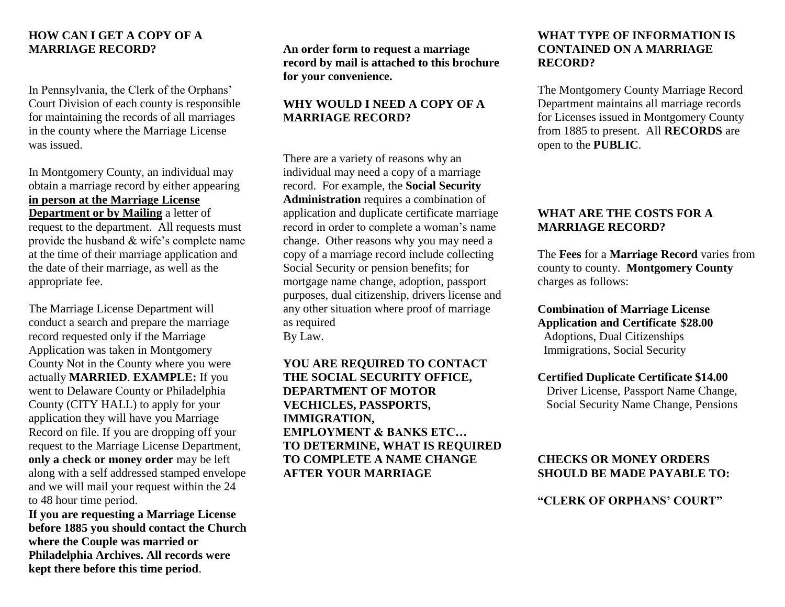## **HOW CAN I GET A COPY OF A MARRIAGE RECORD?**

In Pennsylvania, the Clerk of the Orphans' Court Division of each county is responsible for maintaining the records of all marriages in the county where the Marriage License was issued.

In Montgomery County, an individual may obtain a marriage record by either appearing **in person at the Marriage License Department or by Mailing** a letter of request to the department. All requests must provide the husband & wife's complete name at the time of their marriage application and the date of their marriage, as well as the appropriate fee.

The Marriage License Department will conduct a search and prepare the marriage record requested only if the Marriage Application was taken in Montgomery County Not in the County where you were actually **MARRIED**. **EXAMPLE:** If you went to Delaware County or Philadelphia County (CITY HALL) to apply for your application they will have you Marriage Record on file. If you are dropping off your request to the Marriage License Department, **only a check or money order** may be left along with a self addressed stamped envelope and we will mail your request within the 24 to 48 hour time period.

**If you are requesting a Marriage License before 1885 you should contact the Church where the Couple was married or Philadelphia Archives. All records were kept there before this time period**.

**An order form to request a marriage record by mail is attached to this brochure for your convenience.**

## **WHY WOULD I NEED A COPY OF A MARRIAGE RECORD?**

There are a variety of reasons why an individual may need a copy of a marriage record. For example, the **Social Security Administration** requires a combination of application and duplicate certificate marriage record in order to complete a woman's name change. Other reasons why you may need a copy of a marriage record include collecting Social Security or pension benefits; for mortgage name change, adoption, passport purposes, dual citizenship, drivers license and any other situation where proof of marriage as required By Law.

## **YOU ARE REQUIRED TO CONTACT THE SOCIAL SECURITY OFFICE, DEPARTMENT OF MOTOR VECHICLES, PASSPORTS, IMMIGRATION, EMPLOYMENT & BANKS ETC… TO DETERMINE, WHAT IS REQUIRED TO COMPLETE A NAME CHANGE AFTER YOUR MARRIAGE**

## **WHAT TYPE OF INFORMATION IS CONTAINED ON A MARRIAGE RECORD?**

The Montgomery County Marriage Record Department maintains all marriage records for Licenses issued in Montgomery County from 1885 to present. All **RECORDS** are open to the **PUBLIC**.

## **WHAT ARE THE COSTS FOR A MARRIAGE RECORD?**

The **Fees** for a **Marriage Record** varies from county to county. **Montgomery County** charges as follows:

**Combination of Marriage License Application and Certificate \$28.00** Adoptions, Dual Citizenships Immigrations, Social Security

#### **Certified Duplicate Certificate \$14.00**

 Driver License, Passport Name Change, Social Security Name Change, Pensions

## **CHECKS OR MONEY ORDERS SHOULD BE MADE PAYABLE TO:**

### **"CLERK OF ORPHANS' COURT"**